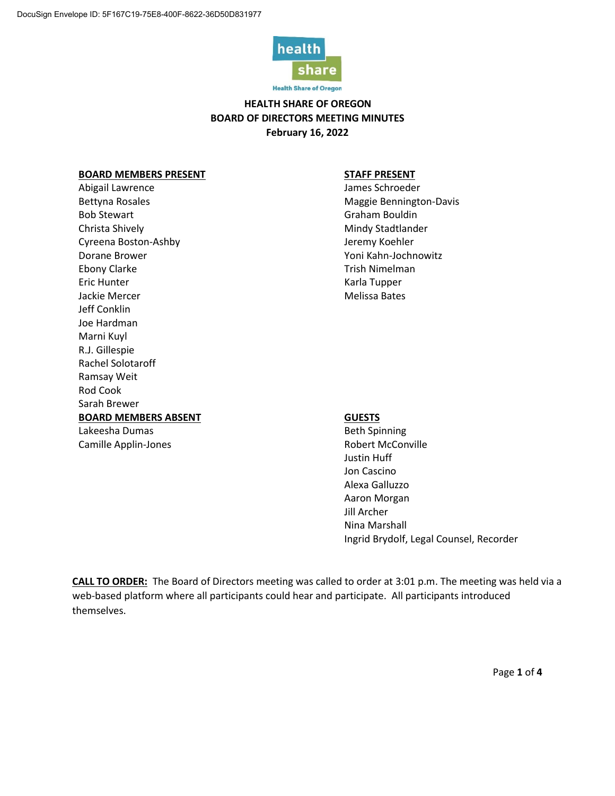

**Health Share of Oregon** 

# **HEALTH SHARE OF OREGON BOARD OF DIRECTORS MEETING MINUTES February 16, 2022**

#### **BOARD MEMBERS PRESENT STAFF PRESENT**

Abigail Lawrence and Abigail Lawrence and Abigail Lawrence and Abigail Lawrence and Abigail Lawrence and Abigai Bettyna Rosales Maggie Bennington-Davis Bob Stewart **Graham Bouldin** Christa Shively **Mindy Stadtlander** Mindy Stadtlander Cyreena Boston-Ashby Jeremy Koehler Dorane Brower North Communications and Manuscription of Manuscription of Voni Kahn-Jochnowitz Ebony Clarke Trish Nimelman Eric Hunter **Karla Tupper** Karla Tupper Jackie Mercer **Melissa Bates** Melissa Bates Jeff Conklin Joe Hardman Marni Kuyl R.J. Gillespie Rachel Solotaroff Ramsay Weit Rod Cook Sarah Brewer **BOARD MEMBERS ABSENT GUESTS** Lakeesha Dumas Beth Spinning Camille Applin-Jones **Acconville** Robert McConville

Justin Huff Jon Cascino Alexa Galluzzo Aaron Morgan Jill Archer Nina Marshall Ingrid Brydolf, Legal Counsel, Recorder

**CALL TO ORDER:** The Board of Directors meeting was called to order at 3:01 p.m. The meeting was held via a web-based platform where all participants could hear and participate. All participants introduced themselves.

Page **1** of **4**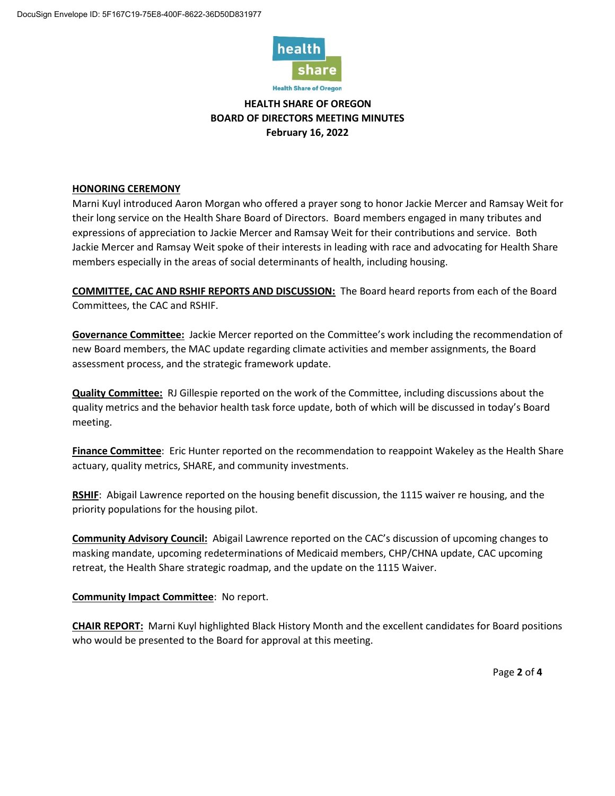

# **HEALTH SHARE OF OREGON BOARD OF DIRECTORS MEETING MINUTES February 16, 2022**

## **HONORING CEREMONY**

Marni Kuyl introduced Aaron Morgan who offered a prayer song to honor Jackie Mercer and Ramsay Weit for their long service on the Health Share Board of Directors. Board members engaged in many tributes and expressions of appreciation to Jackie Mercer and Ramsay Weit for their contributions and service. Both Jackie Mercer and Ramsay Weit spoke of their interests in leading with race and advocating for Health Share members especially in the areas of social determinants of health, including housing.

**COMMITTEE, CAC AND RSHIF REPORTS AND DISCUSSION:** The Board heard reports from each of the Board Committees, the CAC and RSHIF.

**Governance Committee:** Jackie Mercer reported on the Committee's work including the recommendation of new Board members, the MAC update regarding climate activities and member assignments, the Board assessment process, and the strategic framework update.

**Quality Committee:** RJ Gillespie reported on the work of the Committee, including discussions about the quality metrics and the behavior health task force update, both of which will be discussed in today's Board meeting.

**Finance Committee**: Eric Hunter reported on the recommendation to reappoint Wakeley as the Health Share actuary, quality metrics, SHARE, and community investments.

**RSHIF**: Abigail Lawrence reported on the housing benefit discussion, the 1115 waiver re housing, and the priority populations for the housing pilot.

**Community Advisory Council:** Abigail Lawrence reported on the CAC's discussion of upcoming changes to masking mandate, upcoming redeterminations of Medicaid members, CHP/CHNA update, CAC upcoming retreat, the Health Share strategic roadmap, and the update on the 1115 Waiver.

**Community Impact Committee**: No report.

**CHAIR REPORT:** Marni Kuyl highlighted Black History Month and the excellent candidates for Board positions who would be presented to the Board for approval at this meeting.

Page **2** of **4**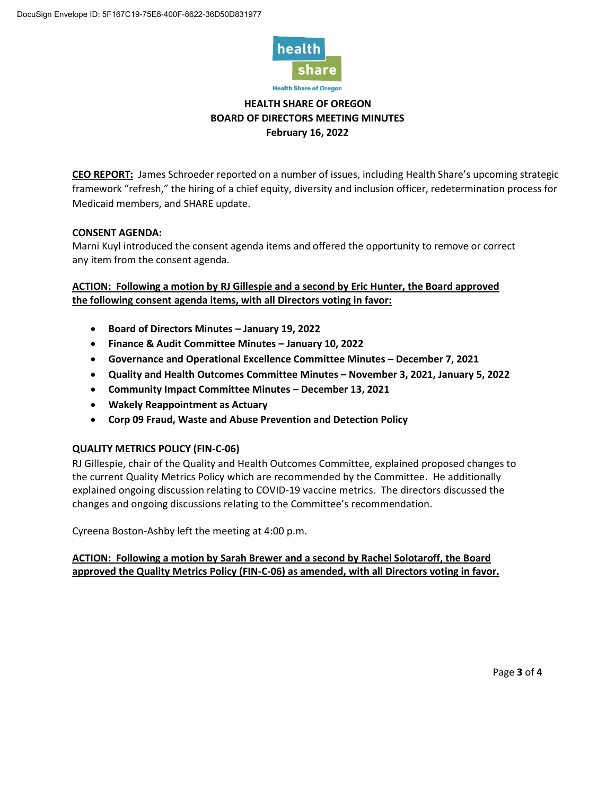

**Health Share of Oregon** 

# **HEALTH SHARE OF OREGON BOARD OF DIRECTORS MEETING MINUTES February 16, 2022**

**CEO REPORT:** James Schroeder reported on a number of issues, including Health Share's upcoming strategic framework "refresh," the hiring of a chief equity, diversity and inclusion officer, redetermination process for Medicaid members, and SHARE update.

## **CONSENT AGENDA:**

Marni Kuyl introduced the consent agenda items and offered the opportunity to remove or correct any item from the consent agenda.

## **ACTION: Following a motion by RJ Gillespie and a second by Eric Hunter, the Board approved the following consent agenda items, with all Directors voting in favor:**

- **Board of Directors Minutes – January 19, 2022**
- **Finance & Audit Committee Minutes – January 10, 2022**
- **Governance and Operational Excellence Committee Minutes – December 7, 2021**
- **Quality and Health Outcomes Committee Minutes – November 3, 2021, January 5, 2022**
- **Community Impact Committee Minutes – December 13, 2021**
- **Wakely Reappointment as Actuary**
- **Corp 09 Fraud, Waste and Abuse Prevention and Detection Policy**

## **QUALITY METRICS POLICY (FIN-C-06)**

RJ Gillespie, chair of the Quality and Health Outcomes Committee, explained proposed changes to the current Quality Metrics Policy which are recommended by the Committee. He additionally explained ongoing discussion relating to COVID-19 vaccine metrics. The directors discussed the changes and ongoing discussions relating to the Committee's recommendation.

Cyreena Boston-Ashby left the meeting at 4:00 p.m.

## **ACTION: Following a motion by Sarah Brewer and a second by Rachel Solotaroff, the Board approved the Quality Metrics Policy (FIN-C-06) as amended, with all Directors voting in favor.**